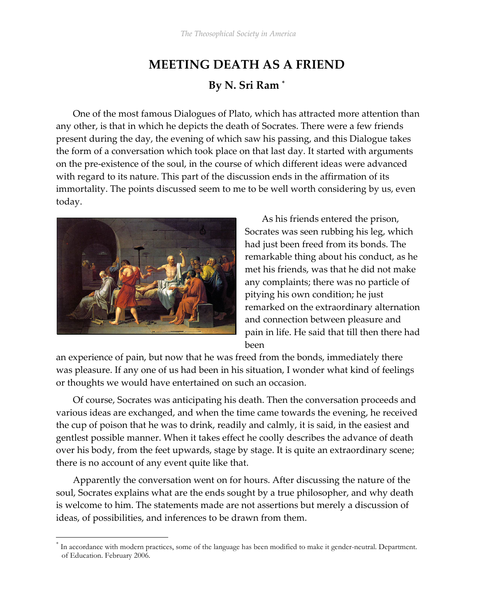## MEETING DEATH AS A FRIEND By N. Sri Ram \*

One of the most famous Dialogues of Plato, which has attracted more attention than any other, is that in which he depicts the death of Socrates. There were a few friends present during the day, the evening of which saw his passing, and this Dialogue takes the form of a conversation which took place on that last day. It started with arguments on the pre-existence of the soul, in the course of which different ideas were advanced with regard to its nature. This part of the discussion ends in the affirmation of its immortality. The points discussed seem to me to be well worth considering by us, even today.



 $\overline{a}$ 

As his friends entered the prison, Socrates was seen rubbing his leg, which had just been freed from its bonds. The remarkable thing about his conduct, as he met his friends, was that he did not make any complaints; there was no particle of pitying his own condition; he just remarked on the extraordinary alternation and connection between pleasure and pain in life. He said that till then there had been

an experience of pain, but now that he was freed from the bonds, immediately there was pleasure. If any one of us had been in his situation, I wonder what kind of feelings or thoughts we would have entertained on such an occasion.

Of course, Socrates was anticipating his death. Then the conversation proceeds and various ideas are exchanged, and when the time came towards the evening, he received the cup of poison that he was to drink, readily and calmly, it is said, in the easiest and gentlest possible manner. When it takes effect he coolly describes the advance of death over his body, from the feet upwards, stage by stage. It is quite an extraordinary scene; there is no account of any event quite like that.

Apparently the conversation went on for hours. After discussing the nature of the soul, Socrates explains what are the ends sought by a true philosopher, and why death is welcome to him. The statements made are not assertions but merely a discussion of ideas, of possibilities, and inferences to be drawn from them.

<sup>\*</sup> In accordance with modern practices, some of the language has been modified to make it gender-neutral. Department. of Education. February 2006.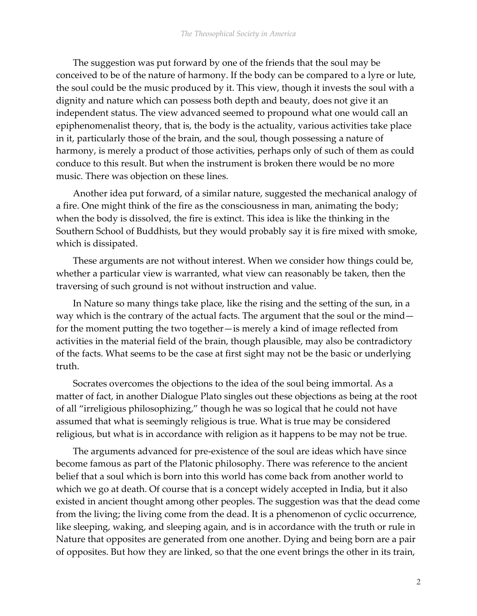The suggestion was put forward by one of the friends that the soul may be conceived to be of the nature of harmony. If the body can be compared to a lyre or lute, the soul could be the music produced by it. This view, though it invests the soul with a dignity and nature which can possess both depth and beauty, does not give it an independent status. The view advanced seemed to propound what one would call an epiphenomenalist theory, that is, the body is the actuality, various activities take place in it, particularly those of the brain, and the soul, though possessing a nature of harmony, is merely a product of those activities, perhaps only of such of them as could conduce to this result. But when the instrument is broken there would be no more music. There was objection on these lines.

Another idea put forward, of a similar nature, suggested the mechanical analogy of a fire. One might think of the fire as the consciousness in man, animating the body; when the body is dissolved, the fire is extinct. This idea is like the thinking in the Southern School of Buddhists, but they would probably say it is fire mixed with smoke, which is dissipated.

These arguments are not without interest. When we consider how things could be, whether a particular view is warranted, what view can reasonably be taken, then the traversing of such ground is not without instruction and value.

In Nature so many things take place, like the rising and the setting of the sun, in a way which is the contrary of the actual facts. The argument that the soul or the mind for the moment putting the two together—is merely a kind of image reflected from activities in the material field of the brain, though plausible, may also be contradictory of the facts. What seems to be the case at first sight may not be the basic or underlying truth.

Socrates overcomes the objections to the idea of the soul being immortal. As a matter of fact, in another Dialogue Plato singles out these objections as being at the root of all "irreligious philosophizing," though he was so logical that he could not have assumed that what is seemingly religious is true. What is true may be considered religious, but what is in accordance with religion as it happens to be may not be true.

The arguments advanced for pre-existence of the soul are ideas which have since become famous as part of the Platonic philosophy. There was reference to the ancient belief that a soul which is born into this world has come back from another world to which we go at death. Of course that is a concept widely accepted in India, but it also existed in ancient thought among other peoples. The suggestion was that the dead come from the living; the living come from the dead. It is a phenomenon of cyclic occurrence, like sleeping, waking, and sleeping again, and is in accordance with the truth or rule in Nature that opposites are generated from one another. Dying and being born are a pair of opposites. But how they are linked, so that the one event brings the other in its train,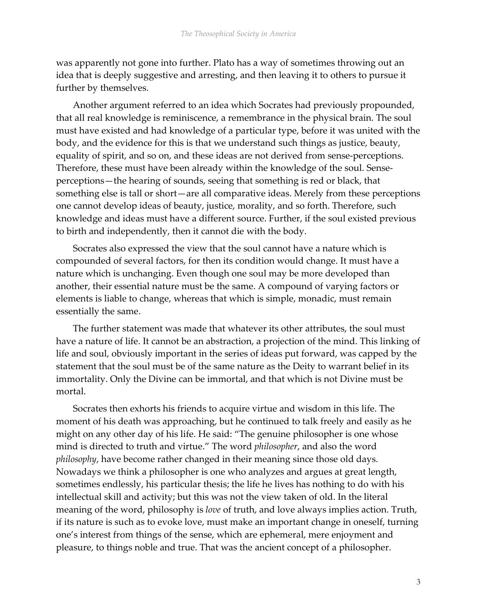was apparently not gone into further. Plato has a way of sometimes throwing out an idea that is deeply suggestive and arresting, and then leaving it to others to pursue it further by themselves.

Another argument referred to an idea which Socrates had previously propounded, that all real knowledge is reminiscence, a remembrance in the physical brain. The soul must have existed and had knowledge of a particular type, before it was united with the body, and the evidence for this is that we understand such things as justice, beauty, equality of spirit, and so on, and these ideas are not derived from sense-perceptions. Therefore, these must have been already within the knowledge of the soul. Senseperceptions—the hearing of sounds, seeing that something is red or black, that something else is tall or short—are all comparative ideas. Merely from these perceptions one cannot develop ideas of beauty, justice, morality, and so forth. Therefore, such knowledge and ideas must have a different source. Further, if the soul existed previous to birth and independently, then it cannot die with the body.

Socrates also expressed the view that the soul cannot have a nature which is compounded of several factors, for then its condition would change. It must have a nature which is unchanging. Even though one soul may be more developed than another, their essential nature must be the same. A compound of varying factors or elements is liable to change, whereas that which is simple, monadic, must remain essentially the same.

The further statement was made that whatever its other attributes, the soul must have a nature of life. It cannot be an abstraction, a projection of the mind. This linking of life and soul, obviously important in the series of ideas put forward, was capped by the statement that the soul must be of the same nature as the Deity to warrant belief in its immortality. Only the Divine can be immortal, and that which is not Divine must be mortal.

Socrates then exhorts his friends to acquire virtue and wisdom in this life. The moment of his death was approaching, but he continued to talk freely and easily as he might on any other day of his life. He said: "The genuine philosopher is one whose mind is directed to truth and virtue." The word philosopher, and also the word philosophy, have become rather changed in their meaning since those old days. Nowadays we think a philosopher is one who analyzes and argues at great length, sometimes endlessly, his particular thesis; the life he lives has nothing to do with his intellectual skill and activity; but this was not the view taken of old. In the literal meaning of the word, philosophy is love of truth, and love always implies action. Truth, if its nature is such as to evoke love, must make an important change in oneself, turning one's interest from things of the sense, which are ephemeral, mere enjoyment and pleasure, to things noble and true. That was the ancient concept of a philosopher.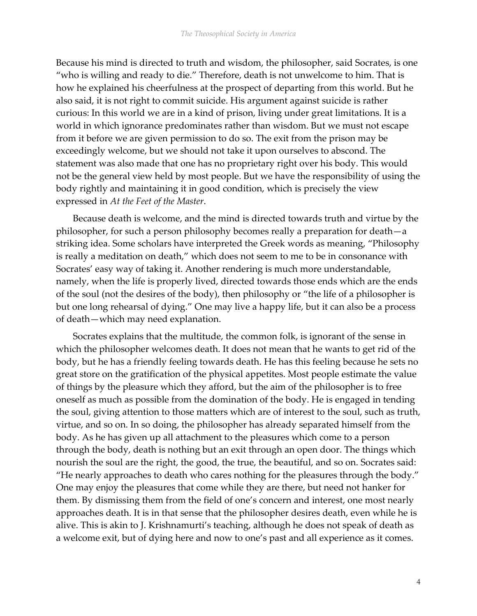Because his mind is directed to truth and wisdom, the philosopher, said Socrates, is one "who is willing and ready to die." Therefore, death is not unwelcome to him. That is how he explained his cheerfulness at the prospect of departing from this world. But he also said, it is not right to commit suicide. His argument against suicide is rather curious: In this world we are in a kind of prison, living under great limitations. It is a world in which ignorance predominates rather than wisdom. But we must not escape from it before we are given permission to do so. The exit from the prison may be exceedingly welcome, but we should not take it upon ourselves to abscond. The statement was also made that one has no proprietary right over his body. This would not be the general view held by most people. But we have the responsibility of using the body rightly and maintaining it in good condition, which is precisely the view expressed in At the Feet of the Master.

Because death is welcome, and the mind is directed towards truth and virtue by the philosopher, for such a person philosophy becomes really a preparation for death—a striking idea. Some scholars have interpreted the Greek words as meaning, "Philosophy is really a meditation on death," which does not seem to me to be in consonance with Socrates' easy way of taking it. Another rendering is much more understandable, namely, when the life is properly lived, directed towards those ends which are the ends of the soul (not the desires of the body), then philosophy or "the life of a philosopher is but one long rehearsal of dying." One may live a happy life, but it can also be a process of death—which may need explanation.

Socrates explains that the multitude, the common folk, is ignorant of the sense in which the philosopher welcomes death. It does not mean that he wants to get rid of the body, but he has a friendly feeling towards death. He has this feeling because he sets no great store on the gratification of the physical appetites. Most people estimate the value of things by the pleasure which they afford, but the aim of the philosopher is to free oneself as much as possible from the domination of the body. He is engaged in tending the soul, giving attention to those matters which are of interest to the soul, such as truth, virtue, and so on. In so doing, the philosopher has already separated himself from the body. As he has given up all attachment to the pleasures which come to a person through the body, death is nothing but an exit through an open door. The things which nourish the soul are the right, the good, the true, the beautiful, and so on. Socrates said: "He nearly approaches to death who cares nothing for the pleasures through the body." One may enjoy the pleasures that come while they are there, but need not hanker for them. By dismissing them from the field of one's concern and interest, one most nearly approaches death. It is in that sense that the philosopher desires death, even while he is alive. This is akin to J. Krishnamurti's teaching, although he does not speak of death as a welcome exit, but of dying here and now to one's past and all experience as it comes.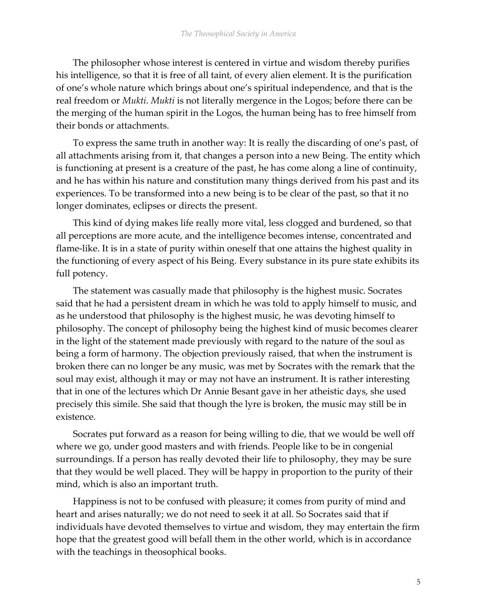The philosopher whose interest is centered in virtue and wisdom thereby purifies his intelligence, so that it is free of all taint, of every alien element. It is the purification of one's whole nature which brings about one's spiritual independence, and that is the real freedom or Mukti. Mukti is not literally mergence in the Logos; before there can be the merging of the human spirit in the Logos, the human being has to free himself from their bonds or attachments.

To express the same truth in another way: It is really the discarding of one's past, of all attachments arising from it, that changes a person into a new Being. The entity which is functioning at present is a creature of the past, he has come along a line of continuity, and he has within his nature and constitution many things derived from his past and its experiences. To be transformed into a new being is to be clear of the past, so that it no longer dominates, eclipses or directs the present.

This kind of dying makes life really more vital, less clogged and burdened, so that all perceptions are more acute, and the intelligence becomes intense, concentrated and flame-like. It is in a state of purity within oneself that one attains the highest quality in the functioning of every aspect of his Being. Every substance in its pure state exhibits its full potency.

The statement was casually made that philosophy is the highest music. Socrates said that he had a persistent dream in which he was told to apply himself to music, and as he understood that philosophy is the highest music, he was devoting himself to philosophy. The concept of philosophy being the highest kind of music becomes clearer in the light of the statement made previously with regard to the nature of the soul as being a form of harmony. The objection previously raised, that when the instrument is broken there can no longer be any music, was met by Socrates with the remark that the soul may exist, although it may or may not have an instrument. It is rather interesting that in one of the lectures which Dr Annie Besant gave in her atheistic days, she used precisely this simile. She said that though the lyre is broken, the music may still be in existence.

Socrates put forward as a reason for being willing to die, that we would be well off where we go, under good masters and with friends. People like to be in congenial surroundings. If a person has really devoted their life to philosophy, they may be sure that they would be well placed. They will be happy in proportion to the purity of their mind, which is also an important truth.

Happiness is not to be confused with pleasure; it comes from purity of mind and heart and arises naturally; we do not need to seek it at all. So Socrates said that if individuals have devoted themselves to virtue and wisdom, they may entertain the firm hope that the greatest good will befall them in the other world, which is in accordance with the teachings in theosophical books.